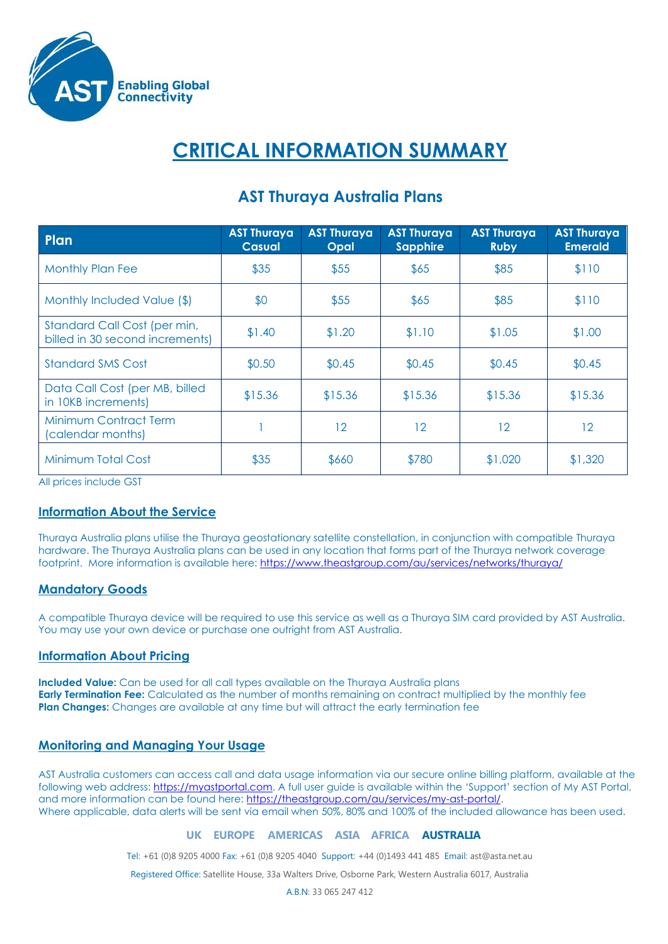

# **CRITICAL INFORMATION SUMMARY**

| Plan                                                            | <b>AST Thuraya</b><br>Casual | <b>AST Thuraya</b><br><b>Opal</b> | <b>AST Thuraya</b><br><b>Sapphire</b> | <b>AST Thuraya</b><br><b>Ruby</b> | <b>AST Thuraya</b><br><b>Emerald</b> |
|-----------------------------------------------------------------|------------------------------|-----------------------------------|---------------------------------------|-----------------------------------|--------------------------------------|
| <b>Monthly Plan Fee</b>                                         | \$35                         | \$55                              | \$65                                  | \$85                              | \$110                                |
| Monthly Included Value (\$)                                     | \$0                          | \$55                              | \$65                                  | \$85                              | \$110                                |
| Standard Call Cost (per min,<br>billed in 30 second increments) | \$1.40                       | \$1.20                            | \$1.10                                | \$1.05                            | \$1.00                               |
| <b>Standard SMS Cost</b>                                        | \$0.50                       | \$0.45                            | \$0.45                                | \$0.45                            | \$0.45                               |
| Data Call Cost (per MB, billed<br>in 10KB increments)           | \$15.36                      | \$15.36                           | \$15.36                               | \$15.36                           | \$15.36                              |
| <b>Minimum Contract Term</b><br>(calendar months)               |                              | 12                                | 12                                    | 12                                | 12 <sup>°</sup>                      |
| Minimum Total Cost                                              | \$35                         | \$660                             | \$780                                 | \$1,020                           | \$1,320                              |

# **AST Thuraya Australia Plans**

All prices include GST

# **Information About the Service**

Thuraya Australia plans utilise the Thuraya geostationary satellite constellation, in conjunction with compatible Thuraya hardware. The Thuraya Australia plans can be used in any location that forms part of the Thuraya network coverage footprint. More information is available here:<https://www.theastgroup.com/au/services/networks/thuraya/>

# **Mandatory Goods**

A compatible Thuraya device will be required to use this service as well as a Thuraya SIM card provided by AST Australia. You may use your own device or purchase one outright from AST Australia.

#### **Information About Pricing**

**Included Value:** Can be used for all call types available on the Thuraya Australia plans **Early Termination Fee:** Calculated as the number of months remaining on contract multiplied by the monthly fee **Plan Changes:** Changes are available at any time but will attract the early termination fee

# **Monitoring and Managing Your Usage**

AST Australia customers can access call and data usage information via our secure online billing platform, available at the following web address: [https://myastportal.com](https://myastportal.com/). A full user guide is available within the 'Support' section of My AST Portal, and more information can be found here[: https://theastgroup.com/au/services/my-ast-portal/.](https://theastgroup.com/au/services/my-ast-portal/) Where applicable, data alerts will be sent via email when 50%, 80% and 100% of the included allowance has been used.

#### **UK EUROPE AMERICAS ASIA AFRICA AUSTRALIA**

Tel: +61 (0)8 9205 4000 Fax: +61 (0)8 9205 4040 Support: +44 (0)1493 441 485 Email[: ast@asta.net.au](mailto:ast@asta.net.au)

Registered Office: Satellite House, 33a Walters Drive, Osborne Park, Western Australia 6017, Australia

A.B.N: 33 065 247 412